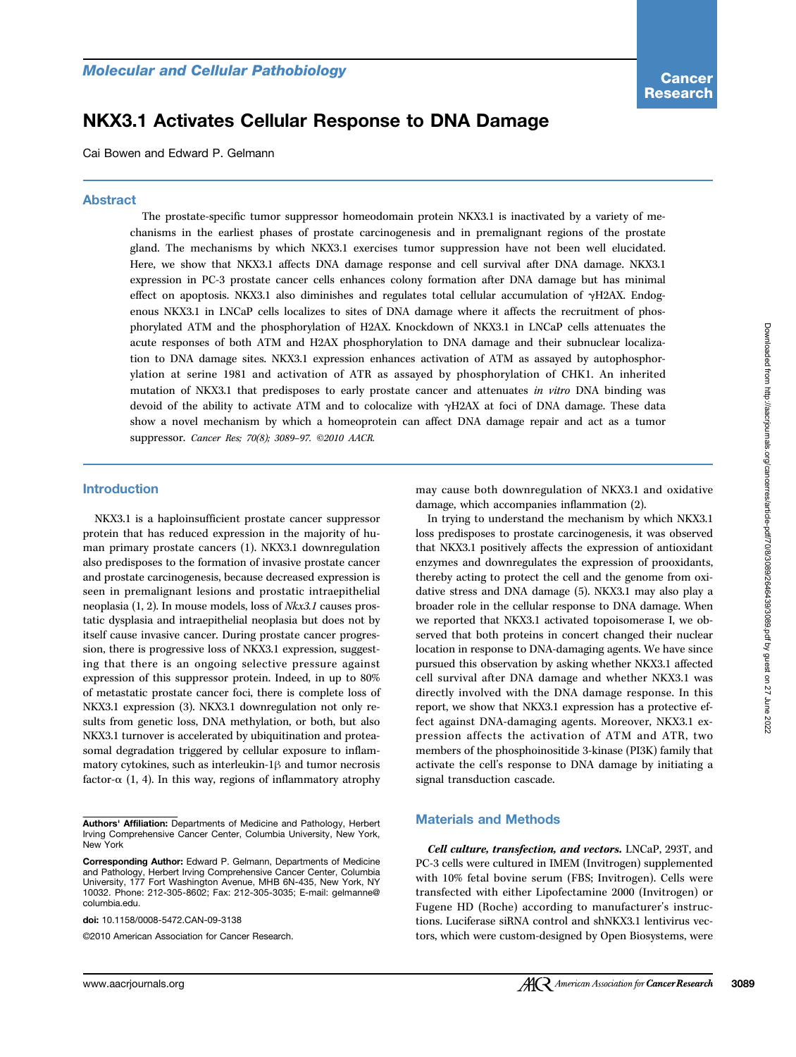# NKX3.1 Activates Cellular Response to DNA Damage

Cai Bowen and Edward P. Gelmann

## Abstract

The prostate-specific tumor suppressor homeodomain protein NKX3.1 is inactivated by a variety of mechanisms in the earliest phases of prostate carcinogenesis and in premalignant regions of the prostate gland. The mechanisms by which NKX3.1 exercises tumor suppression have not been well elucidated. Here, we show that NKX3.1 affects DNA damage response and cell survival after DNA damage. NKX3.1 expression in PC-3 prostate cancer cells enhances colony formation after DNA damage but has minimal effect on apoptosis. NKX3.1 also diminishes and regulates total cellular accumulation of γH2AX. Endogenous NKX3.1 in LNCaP cells localizes to sites of DNA damage where it affects the recruitment of phosphorylated ATM and the phosphorylation of H2AX. Knockdown of NKX3.1 in LNCaP cells attenuates the acute responses of both ATM and H2AX phosphorylation to DNA damage and their subnuclear localization to DNA damage sites. NKX3.1 expression enhances activation of ATM as assayed by autophosphorylation at serine 1981 and activation of ATR as assayed by phosphorylation of CHK1. An inherited mutation of NKX3.1 that predisposes to early prostate cancer and attenuates in vitro DNA binding was devoid of the ability to activate ATM and to colocalize with γH2AX at foci of DNA damage. These data show a novel mechanism by which a homeoprotein can affect DNA damage repair and act as a tumor suppressor. Cancer Res; 70(8); 3089-97. ©2010 AACR.

## Introduction

NKX3.1 is a haploinsufficient prostate cancer suppressor protein that has reduced expression in the majority of human primary prostate cancers (1). NKX3.1 downregulation also predisposes to the formation of invasive prostate cancer and prostate carcinogenesis, because decreased expression is seen in premalignant lesions and prostatic intraepithelial neoplasia (1, 2). In mouse models, loss of Nkx3.1 causes prostatic dysplasia and intraepithelial neoplasia but does not by itself cause invasive cancer. During prostate cancer progression, there is progressive loss of NKX3.1 expression, suggesting that there is an ongoing selective pressure against expression of this suppressor protein. Indeed, in up to 80% of metastatic prostate cancer foci, there is complete loss of NKX3.1 expression (3). NKX3.1 downregulation not only results from genetic loss, DNA methylation, or both, but also NKX3.1 turnover is accelerated by ubiquitination and proteasomal degradation triggered by cellular exposure to inflammatory cytokines, such as interleukin-1β and tumor necrosis factor- $\alpha$  (1, 4). In this way, regions of inflammatory atrophy

doi: 10.1158/0008-5472.CAN-09-3138

©2010 American Association for Cancer Research.

may cause both downregulation of NKX3.1 and oxidative damage, which accompanies inflammation (2).

In trying to understand the mechanism by which NKX3.1 loss predisposes to prostate carcinogenesis, it was observed that NKX3.1 positively affects the expression of antioxidant enzymes and downregulates the expression of prooxidants, thereby acting to protect the cell and the genome from oxidative stress and DNA damage (5). NKX3.1 may also play a broader role in the cellular response to DNA damage. When we reported that NKX3.1 activated topoisomerase I, we observed that both proteins in concert changed their nuclear location in response to DNA-damaging agents. We have since pursued this observation by asking whether NKX3.1 affected cell survival after DNA damage and whether NKX3.1 was directly involved with the DNA damage response. In this report, we show that NKX3.1 expression has a protective effect against DNA-damaging agents. Moreover, NKX3.1 expression affects the activation of ATM and ATR, two members of the phosphoinositide 3-kinase (PI3K) family that activate the cell's response to DNA damage by initiating a signal transduction cascade.

#### Materials and Methods

Cell culture, transfection, and vectors. LNCaP, 293T, and PC-3 cells were cultured in IMEM (Invitrogen) supplemented with 10% fetal bovine serum (FBS; Invitrogen). Cells were transfected with either Lipofectamine 2000 (Invitrogen) or Fugene HD (Roche) according to manufacturer's instructions. Luciferase siRNA control and shNKX3.1 lentivirus vectors, which were custom-designed by Open Biosystems, were

Authors' Affiliation: Departments of Medicine and Pathology, Herbert Irving Comprehensive Cancer Center, Columbia University, New York, New York

Corresponding Author: Edward P. Gelmann, Departments of Medicine and Pathology, Herbert Irving Comprehensive Cancer Center, Columbia University, 177 Fort Washington Avenue, MHB 6N-435, New York, NY 10032. Phone: 212-305-8602; Fax: 212-305-3035; E-mail: gelmanne@ columbia.edu.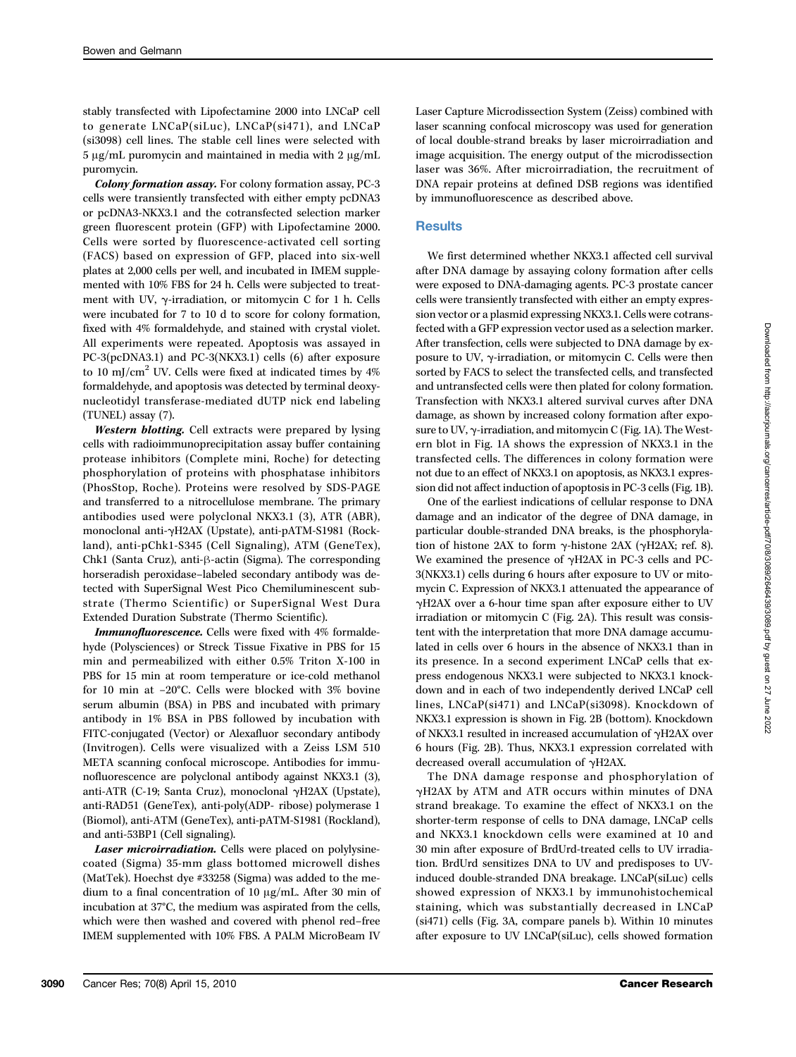stably transfected with Lipofectamine 2000 into LNCaP cell to generate LNCaP(siLuc), LNCaP(si471), and LNCaP (si3098) cell lines. The stable cell lines were selected with 5 μg/mL puromycin and maintained in media with 2 μg/mL puromycin.

Colony formation assay. For colony formation assay, PC-3 cells were transiently transfected with either empty pcDNA3 or pcDNA3-NKX3.1 and the cotransfected selection marker green fluorescent protein (GFP) with Lipofectamine 2000. Cells were sorted by fluorescence-activated cell sorting (FACS) based on expression of GFP, placed into six-well plates at 2,000 cells per well, and incubated in IMEM supplemented with 10% FBS for 24 h. Cells were subjected to treatment with UV, γ-irradiation, or mitomycin C for 1 h. Cells were incubated for 7 to 10 d to score for colony formation, fixed with 4% formaldehyde, and stained with crystal violet. All experiments were repeated. Apoptosis was assayed in PC-3(pcDNA3.1) and PC-3(NKX3.1) cells (6) after exposure to 10 mJ/cm<sup>2</sup> UV. Cells were fixed at indicated times by  $4\%$ formaldehyde, and apoptosis was detected by terminal deoxynucleotidyl transferase-mediated dUTP nick end labeling (TUNEL) assay (7).

Western blotting. Cell extracts were prepared by lysing cells with radioimmunoprecipitation assay buffer containing protease inhibitors (Complete mini, Roche) for detecting phosphorylation of proteins with phosphatase inhibitors (PhosStop, Roche). Proteins were resolved by SDS-PAGE and transferred to a nitrocellulose membrane. The primary antibodies used were polyclonal NKX3.1 (3), ATR (ABR), monoclonal anti-γH2AX (Upstate), anti-pATM-S1981 (Rockland), anti-pChk1-S345 (Cell Signaling), ATM (GeneTex), Chk1 (Santa Cruz), anti-β-actin (Sigma). The corresponding horseradish peroxidase–labeled secondary antibody was detected with SuperSignal West Pico Chemiluminescent substrate (Thermo Scientific) or SuperSignal West Dura Extended Duration Substrate (Thermo Scientific).

Immunofluorescence. Cells were fixed with 4% formaldehyde (Polysciences) or Streck Tissue Fixative in PBS for 15 min and permeabilized with either 0.5% Triton X-100 in PBS for 15 min at room temperature or ice-cold methanol for 10 min at −20°C. Cells were blocked with 3% bovine serum albumin (BSA) in PBS and incubated with primary antibody in 1% BSA in PBS followed by incubation with FITC-conjugated (Vector) or Alexafluor secondary antibody (Invitrogen). Cells were visualized with a Zeiss LSM 510 META scanning confocal microscope. Antibodies for immunofluorescence are polyclonal antibody against NKX3.1 (3), anti-ATR (C-19; Santa Cruz), monoclonal γH2AX (Upstate), anti-RAD51 (GeneTex), anti-poly(ADP- ribose) polymerase 1 (Biomol), anti-ATM (GeneTex), anti-pATM-S1981 (Rockland), and anti-53BP1 (Cell signaling).

Laser microirradiation. Cells were placed on polylysinecoated (Sigma) 35-mm glass bottomed microwell dishes (MatTek). Hoechst dye #33258 (Sigma) was added to the medium to a final concentration of 10 μg/mL. After 30 min of incubation at 37°C, the medium was aspirated from the cells, which were then washed and covered with phenol red–free IMEM supplemented with 10% FBS. A PALM MicroBeam IV

## **Results**

We first determined whether NKX3.1 affected cell survival after DNA damage by assaying colony formation after cells were exposed to DNA-damaging agents. PC-3 prostate cancer cells were transiently transfected with either an empty expression vector or a plasmid expressing NKX3.1. Cells were cotransfected with a GFP expression vector used as a selection marker. After transfection, cells were subjected to DNA damage by exposure to UV, γ-irradiation, or mitomycin C. Cells were then sorted by FACS to select the transfected cells, and transfected and untransfected cells were then plated for colony formation. Transfection with NKX3.1 altered survival curves after DNA damage, as shown by increased colony formation after exposure to UV, γ-irradiation, and mitomycin C (Fig. 1A). The Western blot in Fig. 1A shows the expression of NKX3.1 in the transfected cells. The differences in colony formation were not due to an effect of NKX3.1 on apoptosis, as NKX3.1 expression did not affect induction of apoptosis in PC-3 cells (Fig. 1B).

One of the earliest indications of cellular response to DNA damage and an indicator of the degree of DNA damage, in particular double-stranded DNA breaks, is the phosphorylation of histone 2AX to form  $γ$ -histone 2AX (γH2AX; ref. 8). We examined the presence of γH2AX in PC-3 cells and PC-3(NKX3.1) cells during 6 hours after exposure to UV or mitomycin C. Expression of NKX3.1 attenuated the appearance of γH2AX over a 6-hour time span after exposure either to UV irradiation or mitomycin C (Fig. 2A). This result was consistent with the interpretation that more DNA damage accumulated in cells over 6 hours in the absence of NKX3.1 than in its presence. In a second experiment LNCaP cells that express endogenous NKX3.1 were subjected to NKX3.1 knockdown and in each of two independently derived LNCaP cell lines, LNCaP(si471) and LNCaP(si3098). Knockdown of NKX3.1 expression is shown in Fig. 2B (bottom). Knockdown of NKX3.1 resulted in increased accumulation of γH2AX over 6 hours (Fig. 2B). Thus, NKX3.1 expression correlated with decreased overall accumulation of γH2AX.

The DNA damage response and phosphorylation of γH2AX by ATM and ATR occurs within minutes of DNA strand breakage. To examine the effect of NKX3.1 on the shorter-term response of cells to DNA damage, LNCaP cells and NKX3.1 knockdown cells were examined at 10 and 30 min after exposure of BrdUrd-treated cells to UV irradiation. BrdUrd sensitizes DNA to UV and predisposes to UVinduced double-stranded DNA breakage. LNCaP(siLuc) cells showed expression of NKX3.1 by immunohistochemical staining, which was substantially decreased in LNCaP (si471) cells (Fig. 3A, compare panels b). Within 10 minutes after exposure to UV LNCaP(siLuc), cells showed formation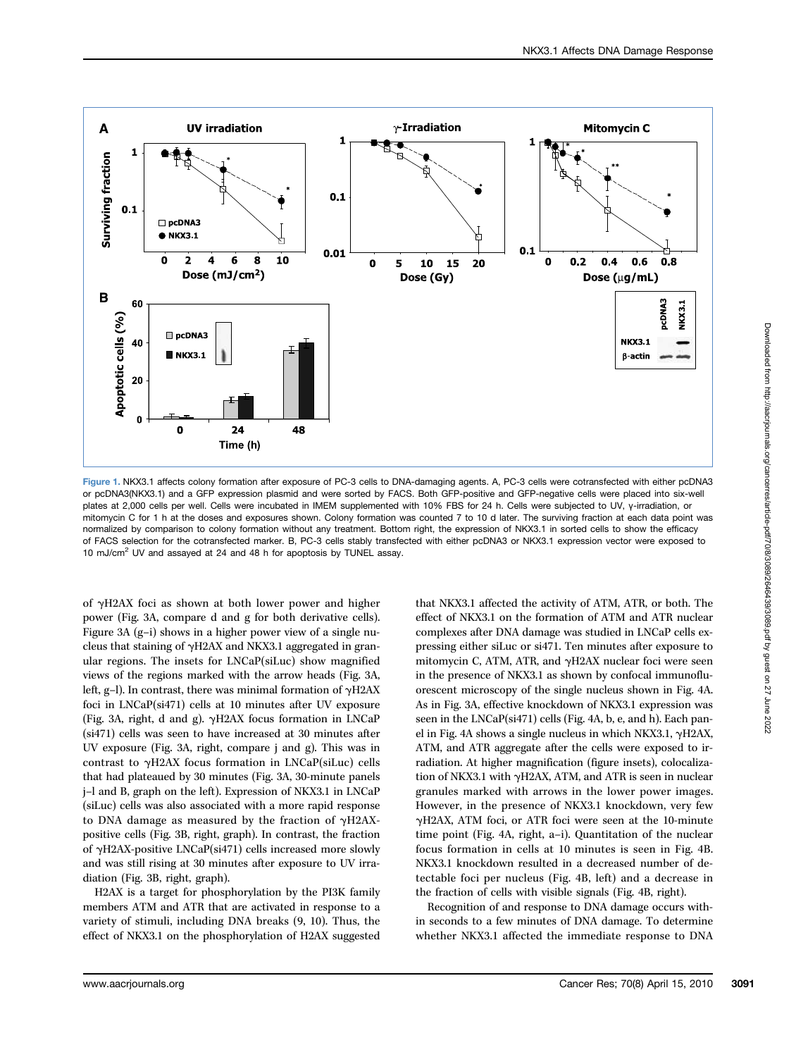

Figure 1. NKX3.1 affects colony formation after exposure of PC-3 cells to DNA-damaging agents. A, PC-3 cells were cotransfected with either pcDNA3 or pcDNA3(NKX3.1) and a GFP expression plasmid and were sorted by FACS. Both GFP-positive and GFP-negative cells were placed into six-well plates at 2,000 cells per well. Cells were incubated in IMEM supplemented with 10% FBS for 24 h. Cells were subjected to UV, γ-irradiation, or mitomycin C for 1 h at the doses and exposures shown. Colony formation was counted 7 to 10 d later. The surviving fraction at each data point was normalized by comparison to colony formation without any treatment. Bottom right, the expression of NKX3.1 in sorted cells to show the efficacy of FACS selection for the cotransfected marker. B, PC-3 cells stably transfected with either pcDNA3 or NKX3.1 expression vector were exposed to 10 mJ/cm<sup>2</sup> UV and assayed at 24 and 48 h for apoptosis by TUNEL assay.

of γH2AX foci as shown at both lower power and higher power (Fig. 3A, compare d and g for both derivative cells). Figure 3A (g–i) shows in a higher power view of a single nucleus that staining of γH2AX and NKX3.1 aggregated in granular regions. The insets for LNCaP(siLuc) show magnified views of the regions marked with the arrow heads (Fig. 3A, left, g–l). In contrast, there was minimal formation of γH2AX foci in LNCaP(si471) cells at 10 minutes after UV exposure (Fig. 3A, right, d and g). γH2AX focus formation in LNCaP (si471) cells was seen to have increased at 30 minutes after UV exposure (Fig. 3A, right, compare j and g). This was in contrast to γH2AX focus formation in LNCaP(siLuc) cells that had plateaued by 30 minutes (Fig. 3A, 30-minute panels j–l and B, graph on the left). Expression of NKX3.1 in LNCaP (siLuc) cells was also associated with a more rapid response to DNA damage as measured by the fraction of γH2AXpositive cells (Fig. 3B, right, graph). In contrast, the fraction of γH2AX-positive LNCaP(si471) cells increased more slowly and was still rising at 30 minutes after exposure to UV irradiation (Fig. 3B, right, graph).

H2AX is a target for phosphorylation by the PI3K family members ATM and ATR that are activated in response to a variety of stimuli, including DNA breaks (9, 10). Thus, the effect of NKX3.1 on the phosphorylation of H2AX suggested

that NKX3.1 affected the activity of ATM, ATR, or both. The effect of NKX3.1 on the formation of ATM and ATR nuclear complexes after DNA damage was studied in LNCaP cells expressing either siLuc or si471. Ten minutes after exposure to mitomycin C, ATM, ATR, and γH2AX nuclear foci were seen in the presence of NKX3.1 as shown by confocal immunofluorescent microscopy of the single nucleus shown in Fig. 4A. As in Fig. 3A, effective knockdown of NKX3.1 expression was seen in the LNCaP(si471) cells (Fig. 4A, b, e, and h). Each panel in Fig. 4A shows a single nucleus in which NKX3.1, γH2AX, ATM, and ATR aggregate after the cells were exposed to irradiation. At higher magnification (figure insets), colocalization of NKX3.1 with γH2AX, ATM, and ATR is seen in nuclear granules marked with arrows in the lower power images. However, in the presence of NKX3.1 knockdown, very few γH2AX, ATM foci, or ATR foci were seen at the 10-minute time point (Fig. 4A, right, a–i). Quantitation of the nuclear focus formation in cells at 10 minutes is seen in Fig. 4B. NKX3.1 knockdown resulted in a decreased number of detectable foci per nucleus (Fig. 4B, left) and a decrease in the fraction of cells with visible signals (Fig. 4B, right).

Recognition of and response to DNA damage occurs within seconds to a few minutes of DNA damage. To determine whether NKX3.1 affected the immediate response to DNA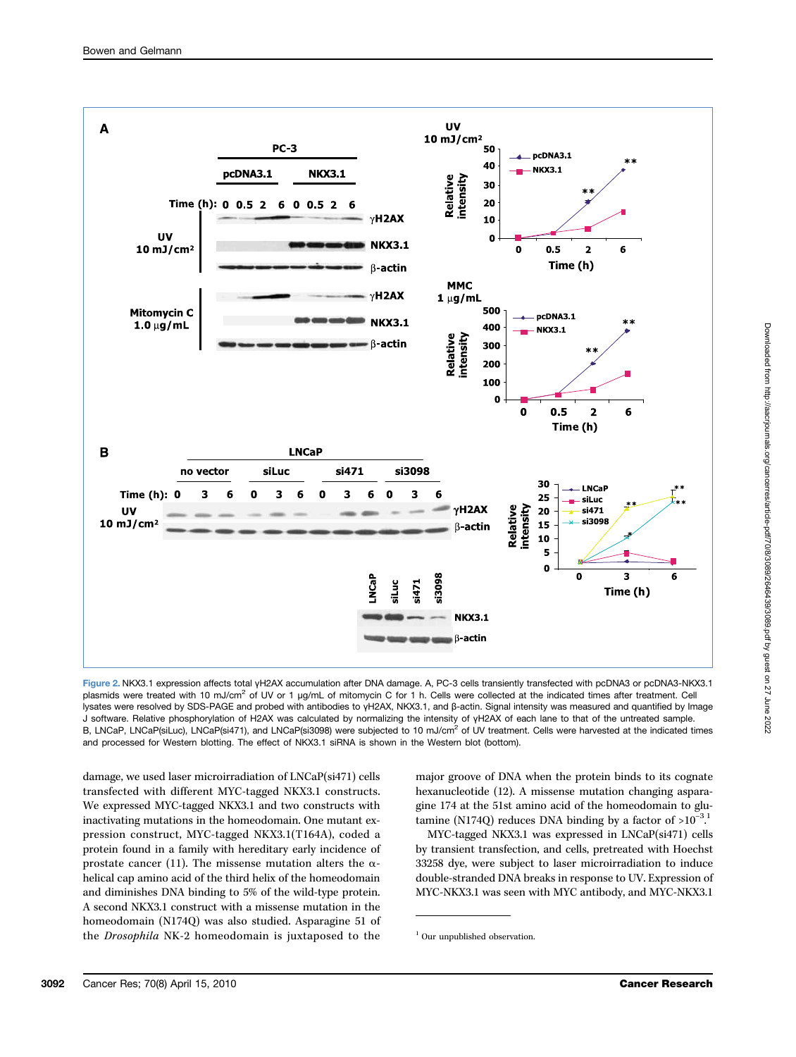

Figure 2. NKX3.1 expression affects total γH2AX accumulation after DNA damage. A, PC-3 cells transiently transfected with pcDNA3 or pcDNA3-NKX3.1 plasmids were treated with 10 mJ/cm<sup>2</sup> of UV or 1 μg/mL of mitomycin C for 1 h. Cells were collected at the indicated times after treatment. Cell lysates were resolved by SDS-PAGE and probed with antibodies to γH2AX, NKX3.1, and β-actin. Signal intensity was measured and quantified by Image J software. Relative phosphorylation of H2AX was calculated by normalizing the intensity of γH2AX of each lane to that of the untreated sample. B, LNCaP, LNCaP(siLuc), LNCaP(si471), and LNCaP(si3098) were subjected to 10 mJ/cm<sup>2</sup> of UV treatment. Cells were harvested at the indicated times and processed for Western blotting. The effect of NKX3.1 siRNA is shown in the Western blot (bottom).

damage, we used laser microirradiation of LNCaP(si471) cells transfected with different MYC-tagged NKX3.1 constructs. We expressed MYC-tagged NKX3.1 and two constructs with inactivating mutations in the homeodomain. One mutant expression construct, MYC-tagged NKX3.1(T164A), coded a protein found in a family with hereditary early incidence of prostate cancer (11). The missense mutation alters the  $\alpha$ helical cap amino acid of the third helix of the homeodomain and diminishes DNA binding to 5% of the wild-type protein. A second NKX3.1 construct with a missense mutation in the homeodomain (N174Q) was also studied. Asparagine 51 of the Drosophila NK-2 homeodomain is juxtaposed to the

major groove of DNA when the protein binds to its cognate hexanucleotide (12). A missense mutation changing asparagine 174 at the 51st amino acid of the homeodomain to glutamine (N174Q) reduces DNA binding by a factor of > $10^{-3}$ .<sup>1</sup> .

MYC-tagged NKX3.1 was expressed in LNCaP(si471) cells by transient transfection, and cells, pretreated with Hoechst 33258 dye, were subject to laser microirradiation to induce double-stranded DNA breaks in response to UV. Expression of MYC-NKX3.1 was seen with MYC antibody, and MYC-NKX3.1

<sup>&</sup>lt;sup>1</sup> Our unpublished observation.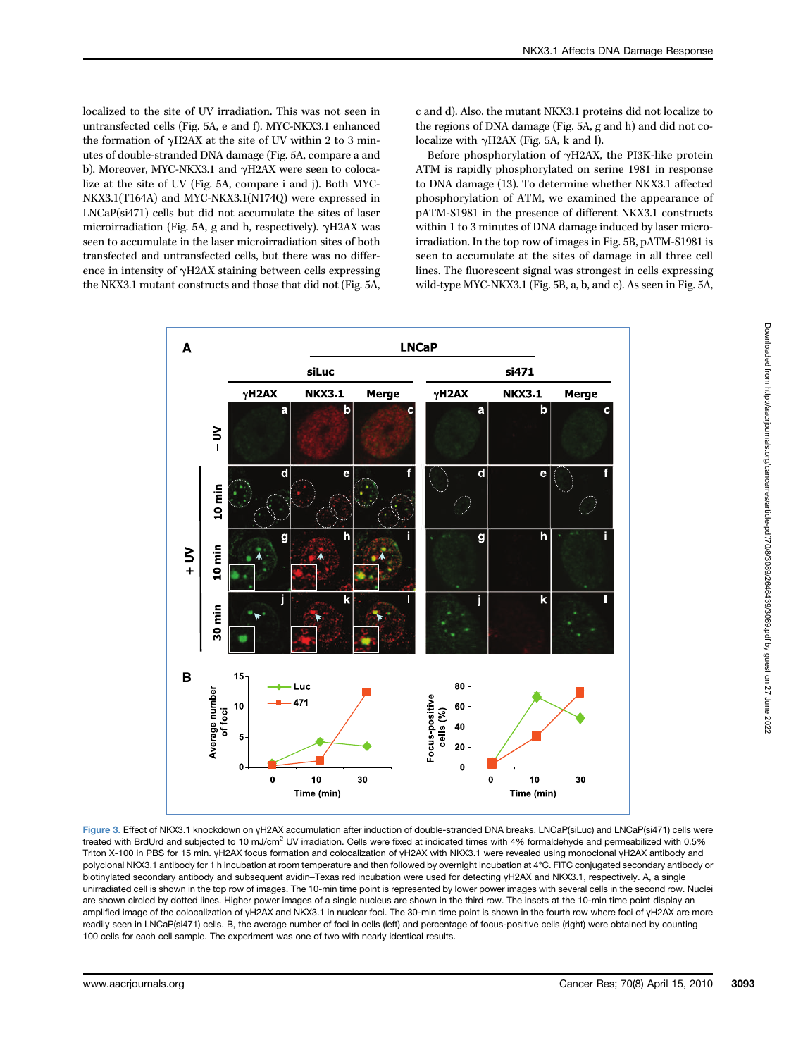localized to the site of UV irradiation. This was not seen in untransfected cells (Fig. 5A, e and f). MYC-NKX3.1 enhanced the formation of γH2AX at the site of UV within 2 to 3 minutes of double-stranded DNA damage (Fig. 5A, compare a and b). Moreover, MYC-NKX3.1 and γH2AX were seen to colocalize at the site of UV (Fig. 5A, compare i and j). Both MYC-NKX3.1(T164A) and MYC-NKX3.1(N174Q) were expressed in LNCaP(si471) cells but did not accumulate the sites of laser microirradiation (Fig. 5A, g and h, respectively). γH2AX was seen to accumulate in the laser microirradiation sites of both transfected and untransfected cells, but there was no difference in intensity of γH2AX staining between cells expressing the NKX3.1 mutant constructs and those that did not (Fig. 5A,

c and d). Also, the mutant NKX3.1 proteins did not localize to the regions of DNA damage (Fig. 5A, g and h) and did not colocalize with  $\gamma$ H2AX (Fig. 5A, k and l).

Before phosphorylation of γH2AX, the PI3K-like protein ATM is rapidly phosphorylated on serine 1981 in response to DNA damage (13). To determine whether NKX3.1 affected phosphorylation of ATM, we examined the appearance of pATM-S1981 in the presence of different NKX3.1 constructs within 1 to 3 minutes of DNA damage induced by laser microirradiation. In the top row of images in Fig. 5B, pATM-S1981 is seen to accumulate at the sites of damage in all three cell lines. The fluorescent signal was strongest in cells expressing wild-type MYC-NKX3.1 (Fig. 5B, a, b, and c). As seen in Fig. 5A,



Figure 3. Effect of NKX3.1 knockdown on γH2AX accumulation after induction of double-stranded DNA breaks. LNCaP(siLuc) and LNCaP(si471) cells were treated with BrdUrd and subjected to 10 mJ/cm<sup>2</sup> UV irradiation. Cells were fixed at indicated times with 4% formaldehyde and permeabilized with 0.5% Triton X-100 in PBS for 15 min. γH2AX focus formation and colocalization of γH2AX with NKX3.1 were revealed using monoclonal γH2AX antibody and polyclonal NKX3.1 antibody for 1 h incubation at room temperature and then followed by overnight incubation at 4°C. FITC conjugated secondary antibody or biotinylated secondary antibody and subsequent avidin–Texas red incubation were used for detecting γH2AX and NKX3.1, respectively. A, a single unirradiated cell is shown in the top row of images. The 10-min time point is represented by lower power images with several cells in the second row. Nuclei are shown circled by dotted lines. Higher power images of a single nucleus are shown in the third row. The insets at the 10-min time point display an amplified image of the colocalization of γH2AX and NKX3.1 in nuclear foci. The 30-min time point is shown in the fourth row where foci of γH2AX are more readily seen in LNCaP(si471) cells. B, the average number of foci in cells (left) and percentage of focus-positive cells (right) were obtained by counting 100 cells for each cell sample. The experiment was one of two with nearly identical results.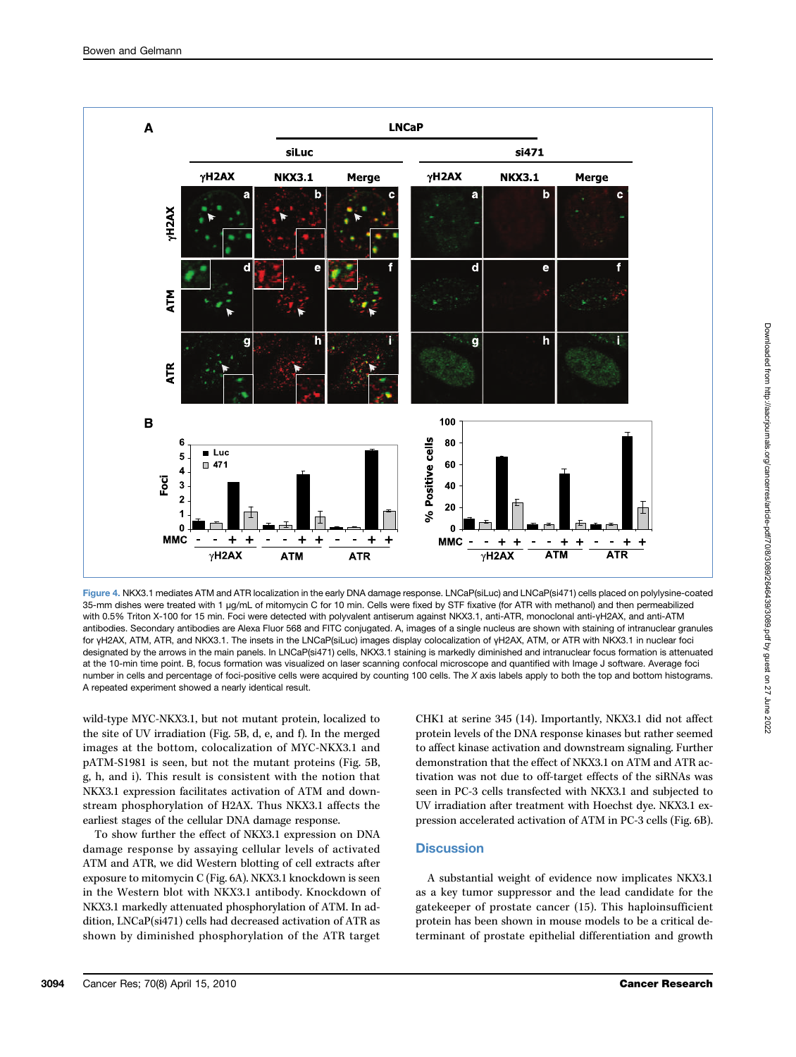

Figure 4. NKX3.1 mediates ATM and ATR localization in the early DNA damage response. LNCaP(siLuc) and LNCaP(si471) cells placed on polylysine-coated 35-mm dishes were treated with 1 μg/mL of mitomycin C for 10 min. Cells were fixed by STF fixative (for ATR with methanol) and then permeabilized with 0.5% Triton X-100 for 15 min. Foci were detected with polyvalent antiserum against NKX3.1, anti-ATR, monoclonal anti-γH2AX, and anti-ATM antibodies. Secondary antibodies are Alexa Fluor 568 and FITC conjugated. A, images of a single nucleus are shown with staining of intranuclear granules for γH2AX, ATM, ATR, and NKX3.1. The insets in the LNCaP(siLuc) images display colocalization of γH2AX, ATM, or ATR with NKX3.1 in nuclear foci designated by the arrows in the main panels. In LNCaP(si471) cells, NKX3.1 staining is markedly diminished and intranuclear focus formation is attenuated at the 10-min time point. B, focus formation was visualized on laser scanning confocal microscope and quantified with Image J software. Average foci number in cells and percentage of foci-positive cells were acquired by counting 100 cells. The X axis labels apply to both the top and bottom histograms. A repeated experiment showed a nearly identical result.

wild-type MYC-NKX3.1, but not mutant protein, localized to the site of UV irradiation (Fig. 5B, d, e, and f). In the merged images at the bottom, colocalization of MYC-NKX3.1 and pATM-S1981 is seen, but not the mutant proteins (Fig. 5B, g, h, and i). This result is consistent with the notion that NKX3.1 expression facilitates activation of ATM and downstream phosphorylation of H2AX. Thus NKX3.1 affects the earliest stages of the cellular DNA damage response.

To show further the effect of NKX3.1 expression on DNA damage response by assaying cellular levels of activated ATM and ATR, we did Western blotting of cell extracts after exposure to mitomycin C (Fig. 6A). NKX3.1 knockdown is seen in the Western blot with NKX3.1 antibody. Knockdown of NKX3.1 markedly attenuated phosphorylation of ATM. In addition, LNCaP(si471) cells had decreased activation of ATR as shown by diminished phosphorylation of the ATR target

CHK1 at serine 345 (14). Importantly, NKX3.1 did not affect protein levels of the DNA response kinases but rather seemed to affect kinase activation and downstream signaling. Further demonstration that the effect of NKX3.1 on ATM and ATR activation was not due to off-target effects of the siRNAs was seen in PC-3 cells transfected with NKX3.1 and subjected to UV irradiation after treatment with Hoechst dye. NKX3.1 expression accelerated activation of ATM in PC-3 cells (Fig. 6B).

## **Discussion**

A substantial weight of evidence now implicates NKX3.1 as a key tumor suppressor and the lead candidate for the gatekeeper of prostate cancer (15). This haploinsufficient protein has been shown in mouse models to be a critical determinant of prostate epithelial differentiation and growth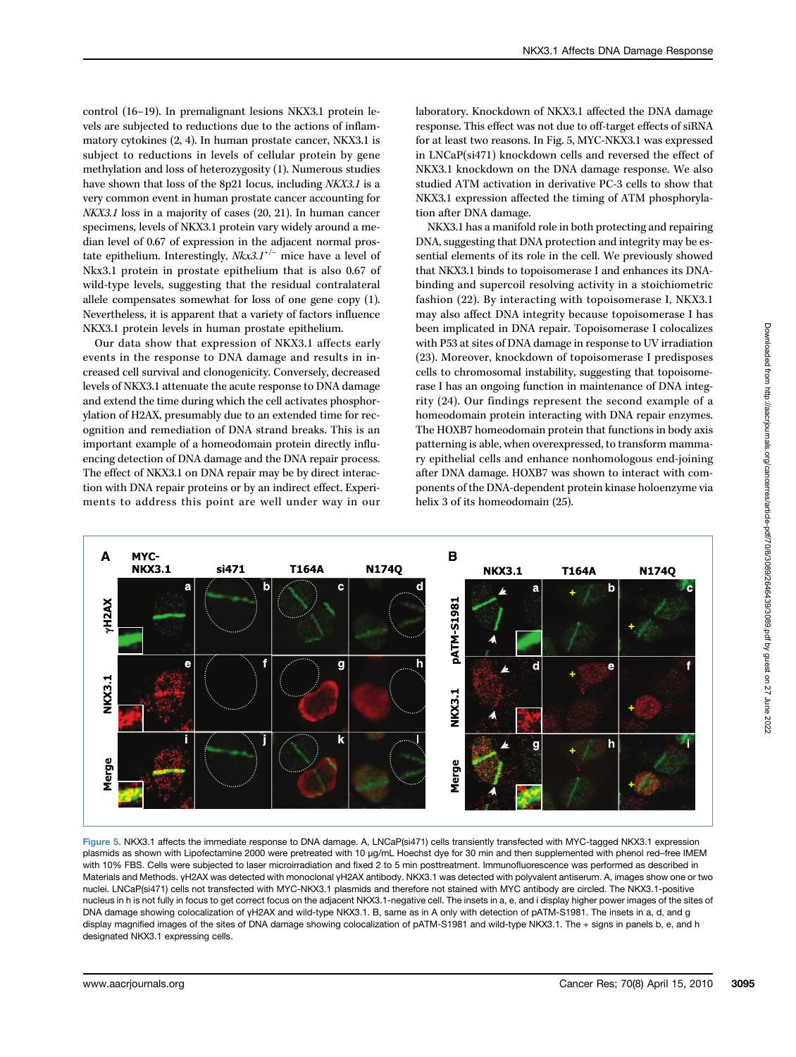control (16–19). In premalignant lesions NKX3.1 protein levels are subjected to reductions due to the actions of inflammatory cytokines (2, 4). In human prostate cancer, NKX3.1 is subject to reductions in levels of cellular protein by gene methylation and loss of heterozygosity (1). Numerous studies have shown that loss of the 8p21 locus, including NKX3.1 is a very common event in human prostate cancer accounting for NKX3.1 loss in a majority of cases (20, 21). In human cancer specimens, levels of NKX3.1 protein vary widely around a median level of 0.67 of expression in the adjacent normal prostate epithelium. Interestingly,  $Nkx3.1^{+/-}$  mice have a level of Nkx3.1 protein in prostate epithelium that is also 0.67 of wild-type levels, suggesting that the residual contralateral allele compensates somewhat for loss of one gene copy (1). Nevertheless, it is apparent that a variety of factors influence NKX3.1 protein levels in human prostate epithelium.

Our data show that expression of NKX3.1 affects early events in the response to DNA damage and results in increased cell survival and clonogenicity. Conversely, decreased levels of NKX3.1 attenuate the acute response to DNA damage and extend the time during which the cell activates phosphorylation of H2AX, presumably due to an extended time for recognition and remediation of DNA strand breaks. This is an important example of a homeodomain protein directly influencing detection of DNA damage and the DNA repair process. The effect of NKX3.1 on DNA repair may be by direct interaction with DNA repair proteins or by an indirect effect. Experiments to address this point are well under way in our laboratory. Knockdown of NKX3.1 affected the DNA damage response. This effect was not due to off-target effects of siRNA for at least two reasons. In Fig. 5, MYC-NKX3.1 was expressed in LNCaP(si471) knockdown cells and reversed the effect of NKX3.1 knockdown on the DNA damage response. We also studied ATM activation in derivative PC-3 cells to show that NKX3.1 expression affected the timing of ATM phosphorylation after DNA damage.

NKX3.1 has a manifold role in both protecting and repairing DNA, suggesting that DNA protection and integrity may be essential elements of its role in the cell. We previously showed that NKX3.1 binds to topoisomerase I and enhances its DNAbinding and supercoil resolving activity in a stoichiometric fashion (22). By interacting with topoisomerase I, NKX3.1 may also affect DNA integrity because topoisomerase I has been implicated in DNA repair. Topoisomerase I colocalizes with P53 at sites of DNA damage in response to UV irradiation (23). Moreover, knockdown of topoisomerase I predisposes cells to chromosomal instability, suggesting that topoisomerase I has an ongoing function in maintenance of DNA integrity (24). Our findings represent the second example of a homeodomain protein interacting with DNA repair enzymes. The HOXB7 homeodomain protein that functions in body axis patterning is able, when overexpressed, to transform mammary epithelial cells and enhance nonhomologous end-joining after DNA damage. HOXB7 was shown to interact with components of the DNA-dependent protein kinase holoenzyme via helix 3 of its homeodomain (25).



Figure 5. NKX3.1 affects the immediate response to DNA damage. A, LNCaP(si471) cells transiently transfected with MYC-tagged NKX3.1 expression plasmids as shown with Lipofectamine 2000 were pretreated with 10 μg/mL Hoechst dye for 30 min and then supplemented with phenol red–free IMEM with 10% FBS. Cells were subjected to laser microirradiation and fixed 2 to 5 min posttreatment. Immunofluorescence was performed as described in Materials and Methods. γH2AX was detected with monoclonal γH2AX antibody. NKX3.1 was detected with polyvalent antiserum. A, images show one or two nuclei. LNCaP(si471) cells not transfected with MYC-NKX3.1 plasmids and therefore not stained with MYC antibody are circled. The NKX3.1-positive nucleus in h is not fully in focus to get correct focus on the adjacent NKX3.1-negative cell. The insets in a, e, and i display higher power images of the sites of DNA damage showing colocalization of γH2AX and wild-type NKX3.1. B, same as in A only with detection of pATM-S1981. The insets in a, d, and g display magnified images of the sites of DNA damage showing colocalization of pATM-S1981 and wild-type NKX3.1. The + signs in panels b, e, and h designated NKX3.1 expressing cells.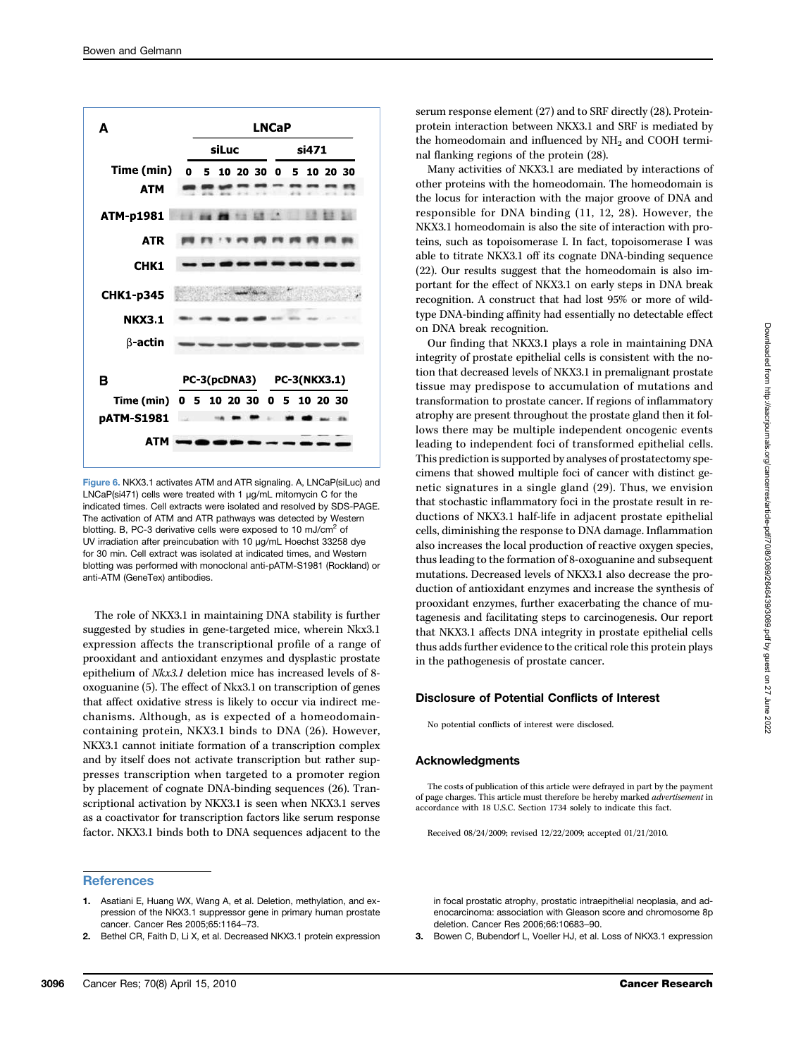

Figure 6. NKX3.1 activates ATM and ATR signaling. A, LNCaP(siLuc) and LNCaP(si471) cells were treated with 1 μg/mL mitomycin C for the indicated times. Cell extracts were isolated and resolved by SDS-PAGE. The activation of ATM and ATR pathways was detected by Western blotting. B, PC-3 derivative cells were exposed to 10 mJ/cm<sup>2</sup> of UV irradiation after preincubation with 10 μg/mL Hoechst 33258 dye for 30 min. Cell extract was isolated at indicated times, and Western blotting was performed with monoclonal anti-pATM-S1981 (Rockland) or anti-ATM (GeneTex) antibodies.

The role of NKX3.1 in maintaining DNA stability is further suggested by studies in gene-targeted mice, wherein Nkx3.1 expression affects the transcriptional profile of a range of prooxidant and antioxidant enzymes and dysplastic prostate epithelium of Nkx3.1 deletion mice has increased levels of 8 oxoguanine (5). The effect of Nkx3.1 on transcription of genes that affect oxidative stress is likely to occur via indirect mechanisms. Although, as is expected of a homeodomaincontaining protein, NKX3.1 binds to DNA (26). However, NKX3.1 cannot initiate formation of a transcription complex and by itself does not activate transcription but rather suppresses transcription when targeted to a promoter region by placement of cognate DNA-binding sequences (26). Transcriptional activation by NKX3.1 is seen when NKX3.1 serves as a coactivator for transcription factors like serum response factor. NKX3.1 binds both to DNA sequences adjacent to the

### **References**

- 1. Asatiani E, Huang WX, Wang A, et al. Deletion, methylation, and expression of the NKX3.1 suppressor gene in primary human prostate cancer. Cancer Res 2005;65:1164–73.
- 2. Bethel CR, Faith D, Li X, et al. Decreased NKX3.1 protein expression

serum response element (27) and to SRF directly (28). Proteinprotein interaction between NKX3.1 and SRF is mediated by the homeodomain and influenced by  $NH<sub>2</sub>$  and COOH terminal flanking regions of the protein (28).

Many activities of NKX3.1 are mediated by interactions of other proteins with the homeodomain. The homeodomain is the locus for interaction with the major groove of DNA and responsible for DNA binding (11, 12, 28). However, the NKX3.1 homeodomain is also the site of interaction with proteins, such as topoisomerase I. In fact, topoisomerase I was able to titrate NKX3.1 off its cognate DNA-binding sequence (22). Our results suggest that the homeodomain is also important for the effect of NKX3.1 on early steps in DNA break recognition. A construct that had lost 95% or more of wildtype DNA-binding affinity had essentially no detectable effect on DNA break recognition.

Our finding that NKX3.1 plays a role in maintaining DNA integrity of prostate epithelial cells is consistent with the notion that decreased levels of NKX3.1 in premalignant prostate tissue may predispose to accumulation of mutations and transformation to prostate cancer. If regions of inflammatory atrophy are present throughout the prostate gland then it follows there may be multiple independent oncogenic events leading to independent foci of transformed epithelial cells. This prediction is supported by analyses of prostatectomy specimens that showed multiple foci of cancer with distinct genetic signatures in a single gland (29). Thus, we envision that stochastic inflammatory foci in the prostate result in reductions of NKX3.1 half-life in adjacent prostate epithelial cells, diminishing the response to DNA damage. Inflammation also increases the local production of reactive oxygen species, thus leading to the formation of 8-oxoguanine and subsequent mutations. Decreased levels of NKX3.1 also decrease the production of antioxidant enzymes and increase the synthesis of prooxidant enzymes, further exacerbating the chance of mutagenesis and facilitating steps to carcinogenesis. Our report that NKX3.1 affects DNA integrity in prostate epithelial cells thus adds further evidence to the critical role this protein plays in the pathogenesis of prostate cancer.

### Disclosure of Potential Conflicts of Interest

No potential conflicts of interest were disclosed.

#### Acknowledgments

The costs of publication of this article were defrayed in part by the payment of page charges. This article must therefore be hereby marked advertisement in accordance with 18 U.S.C. Section 1734 solely to indicate this fact.

Received 08/24/2009; revised 12/22/2009; accepted 01/21/2010.

in focal prostatic atrophy, prostatic intraepithelial neoplasia, and adenocarcinoma: association with Gleason score and chromosome 8p deletion. Cancer Res 2006;66:10683–90.

3. Bowen C, Bubendorf L, Voeller HJ, et al. Loss of NKX3.1 expression